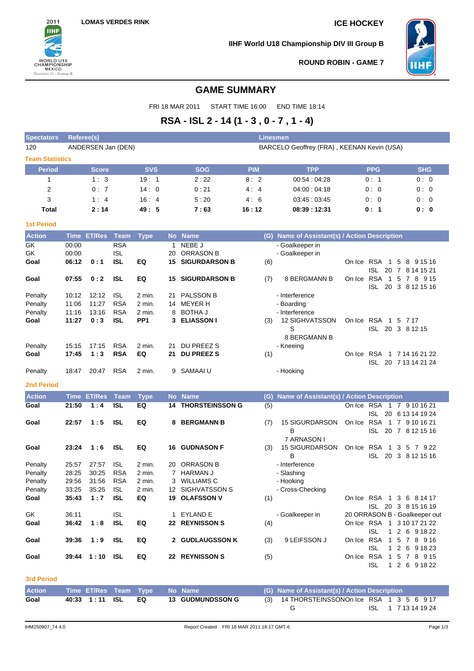

**IIHF World U18 Championship DIV III Group B**



**ROUND ROBIN - GAME 7**

# **GAME SUMMARY**

FRI 18 MAR 2011 START TIME 16:00 END TIME 18:14

# **RSA - ISL 2 - 14 (1 - 3 , 0 - 7 , 1 - 4)**

| <b>Spectators</b>      | Referee(s) |                    |             |                 |     |                           | <b>Linesmen</b> |                                               |        |                     |                                               |
|------------------------|------------|--------------------|-------------|-----------------|-----|---------------------------|-----------------|-----------------------------------------------|--------|---------------------|-----------------------------------------------|
| 120                    |            | ANDERSEN Jan (DEN) |             |                 |     |                           |                 | BARCELO Geoffrey (FRA), KEENAN Kevin (USA)    |        |                     |                                               |
| <b>Team Statistics</b> |            |                    |             |                 |     |                           |                 |                                               |        |                     |                                               |
| <b>Period</b>          |            | <b>Score</b>       |             | <b>SVS</b>      |     | <b>SOG</b>                | <b>PIM</b>      | <b>TPP</b>                                    |        | <b>PPG</b>          | <b>SHG</b>                                    |
| 1                      |            | 1:3                |             | 19:1            |     | 2:22                      | 8:2             | 00:54 : 04:28                                 |        | 0:1                 | 0:0                                           |
| 2                      |            | 0:7                |             | 14:0            |     | 0:21                      | 4:4             | 04:00:04:18                                   |        | 0:0                 | 0:0                                           |
| 3                      |            | 1:4                |             | 16:4            |     | 5:20                      | 4:6             | 03:45:03:45                                   |        | 0:0                 | 0:0                                           |
| Total                  |            | 2:14               |             | 49:5            |     | 7:63                      | 16:12           | 08:39:12:31                                   |        | 0: 1                | 0: 0                                          |
| <b>1st Period</b>      |            |                    |             |                 |     |                           |                 |                                               |        |                     |                                               |
| <b>Action</b>          |            | Time ET/Res        | <b>Team</b> | <b>Type</b>     |     | No Name                   |                 | (G) Name of Assistant(s) / Action Description |        |                     |                                               |
| GK                     | 00:00      |                    | <b>RSA</b>  |                 |     | 1 NEBE J                  |                 | - Goalkeeper in                               |        |                     |                                               |
| GK                     | 00:00      |                    | <b>ISL</b>  |                 | 20  | ORRASON B                 |                 | - Goalkeeper in                               |        |                     |                                               |
| Goal                   | 06:12      | 0:1                | <b>ISL</b>  | EQ              | 15  | <b>SIGURDARSON B</b>      | (6)             |                                               |        |                     | On Ice RSA 1 5 8 9 15 16                      |
|                        |            |                    |             |                 |     |                           |                 |                                               |        |                     | ISL 20 7 8 14 15 21                           |
| Goal                   | 07:55      | 0:2                | <b>ISL</b>  | EQ              |     | <b>15 SIGURDARSON B</b>   | (7)             | <b>8 BERGMANN B</b>                           | On Ice |                     | RSA 1 5 7 8 9 15<br>ISL 20 3 8 12 15 16       |
| Penalty                | 10:12      | 12:12              | <b>ISL</b>  | 2 min.          | 21. | <b>PALSSON B</b>          |                 | - Interference                                |        |                     |                                               |
| Penalty                | 11:06      | 11:27              | <b>RSA</b>  | 2 min.          |     | 14 MEYER H                |                 | - Boarding                                    |        |                     |                                               |
| Penalty                | 11:16      | 13:16              | <b>RSA</b>  | 2 min.          | 8   | BOTHA J                   |                 | - Interference                                |        |                     |                                               |
| Goal                   | 11:27      | 0:3                | ISL         | PP <sub>1</sub> |     | 3 ELIASSON I              | (3)             | 12 SIGHVATSSON                                |        | On Ice RSA 1 5 7 17 |                                               |
|                        |            |                    |             |                 |     |                           |                 | S                                             |        |                     | ISL 20 3 8 12 15                              |
|                        |            |                    |             |                 |     |                           |                 | 8 BERGMANN B                                  |        |                     |                                               |
| Penalty                | 15:15      | 17:15              | <b>RSA</b>  | 2 min.          | 21  | DU PREEZ S                |                 | - Kneeing                                     |        |                     |                                               |
| Goal                   | 17:45      | 1:3                | <b>RSA</b>  | EQ              | 21. | <b>DU PREEZ S</b>         | (1)             |                                               |        |                     | On Ice RSA 1 7 14 16 21 22                    |
| Penalty                | 18:47      | 20:47              | <b>RSA</b>  | 2 min.          | 9   | SAMAAI U                  |                 | - Hooking                                     |        |                     | ISL 20 7 13 14 21 24                          |
|                        |            |                    |             |                 |     |                           |                 |                                               |        |                     |                                               |
| <b>2nd Period</b>      |            |                    |             |                 |     |                           |                 |                                               |        |                     |                                               |
| <b>Action</b>          |            | <b>Time ET/Res</b> | <b>Team</b> | <b>Type</b>     |     | No Name                   | (G)             | Name of Assistant(s) / Action Description     |        |                     |                                               |
| Goal                   | 21:50      | 1:4                | <b>ISL</b>  | EQ              |     | <b>14 THORSTEINSSON G</b> | (5)             |                                               |        | ISL                 | On Ice RSA 1 7 9 10 16 21<br>20 6 13 14 19 24 |
| Goal                   | 22:57      | 1:5                | ISL         | EQ              |     | <b>8 BERGMANN B</b>       | (7)             | <b>15 SIGURDARSON</b>                         |        |                     | On Ice RSA 1 7 9 10 16 21                     |
|                        |            |                    |             |                 |     |                           |                 | В                                             |        |                     | ISL 20 7 8 12 15 16                           |
|                        |            |                    |             |                 |     |                           |                 | 7 ARNASON I                                   |        |                     |                                               |
| Goal                   | 23:24      | 1:6                | <b>ISL</b>  | EQ              | 16  | <b>GUDNASON F</b>         | (3)             | <b>15 SIGURDARSON</b>                         |        | On Ice RSA 1        | 3 5 7 9 22                                    |
| Penalty                | 25:57      | 27:57              | <b>ISL</b>  | $2$ min.        |     | 20 ORRASON B              |                 | В<br>- Interference                           |        | ISL                 | 20 3 8 12 15 16                               |
| Penalty                | 28:25      | 30:25              | <b>RSA</b>  | 2 min.          |     | 7 HARMAN J                |                 | - Slashing                                    |        |                     |                                               |
| Penalty                | 29:56      | 31:56              | <b>RSA</b>  | 2 min.          |     | 3 WILLIAMS C              |                 | - Hooking                                     |        |                     |                                               |
| Penalty                | 33:25      | 35:25              | <b>ISL</b>  | 2 min.          |     | 12 SIGHVATSSON S          |                 | - Cross-Checking                              |        |                     |                                               |
| Goal                   |            | $35:43 \quad 1:7$  | <b>ISL</b>  | EQ              |     | 19 OLAFSSON V             | (1)             |                                               |        |                     | On Ice RSA 1 3 6 8 14 17                      |
|                        |            |                    |             |                 |     |                           |                 |                                               |        |                     | ISL 20 3 8 15 16 19                           |
| GK                     | 36:11      |                    | <b>ISL</b>  |                 |     | 1 EYLAND E                |                 | - Goalkeeper in                               |        |                     | 20 ORRASON B - Goalkeeper out                 |
| Goal                   | 36:42      | 1:8                | <b>ISL</b>  | EQ              |     | 22 REYNISSON S            | (4)             |                                               |        |                     | On Ice RSA 1 3 10 17 21 22                    |
|                        |            |                    |             |                 |     |                           |                 |                                               |        | ISL                 | 1 2 6 9 18 22                                 |
| Goal                   | 39:36      | 1:9                | <b>ISL</b>  | EQ              |     | 2 GUDLAUGSSON K           | (3)             | 9 LEIFSSON J                                  |        |                     | On Ice RSA 1 5 7 8 9 16                       |
| Goal                   |            | 39:44 1:10 ISL     |             | EQ              |     | 22 REYNISSON S            | (5)             |                                               |        | ISL.                | 1 2 6 9 18 23<br>On Ice RSA 1 5 7 8 9 15      |
|                        |            |                    |             |                 |     |                           |                 |                                               |        |                     | ISL 1 2 6 9 18 22                             |
|                        |            |                    |             |                 |     |                           |                 |                                               |        |                     |                                               |
| <b>3rd Period</b>      |            |                    |             |                 |     |                           |                 |                                               |        |                     |                                               |

| <b>Action</b> |                | Time ET/Res Team Type No Name |                         | (G) Name of Assistant(s) / Action Description |                     |  |  |  |
|---------------|----------------|-------------------------------|-------------------------|-----------------------------------------------|---------------------|--|--|--|
| Goal          | 40:33 1:11 ISL | EQ.                           | <b>13 GUDMUNDSSON G</b> | (3) 14 THORSTEINSSONOn Ice RSA 1 3 5 6 9 17   |                     |  |  |  |
|               |                |                               |                         |                                               | ISL 1 7 13 14 19 24 |  |  |  |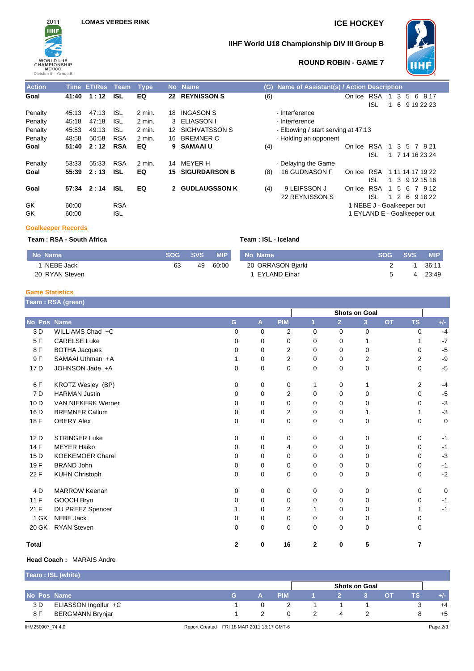

# **IIHF World U18 Championship DIV III Group B**



## **ROUND ROBIN - GAME 7**

| <b>Action</b> |       | Time ET/Res Team |            | <b>Type</b> | No. | <b>Name</b>          | (G) | <b>Name of Assistant(s) / Action Description</b> |        |                             |                |     |    |   |                   |
|---------------|-------|------------------|------------|-------------|-----|----------------------|-----|--------------------------------------------------|--------|-----------------------------|----------------|-----|----|---|-------------------|
| Goal          | 41:40 | 1:12             | <b>ISL</b> | EQ          | 22  | <b>REYNISSON S</b>   | (6) |                                                  | On Ice | <b>RSA</b>                  | 1.             | 3   | 5  | 6 | 9 17              |
|               |       |                  |            |             |     |                      |     |                                                  |        | ISL                         |                | 6   |    |   | 9 19 22 23        |
| Penalty       | 45:13 | 47:13            | <b>ISL</b> | 2 min.      | 18. | INGASON S            |     | - Interference                                   |        |                             |                |     |    |   |                   |
| Penalty       | 45:18 | 47:18            | <b>ISL</b> | 2 min.      |     | 3 ELIASSON I         |     | - Interference                                   |        |                             |                |     |    |   |                   |
| Penalty       | 45:53 | 49:13            | <b>ISL</b> | 2 min.      |     | 12 SIGHVATSSON S     |     | - Elbowing / start serving at 47:13              |        |                             |                |     |    |   |                   |
| Penalty       | 48:58 | 50:58            | <b>RSA</b> | 2 min.      | 16  | <b>BREMNER C</b>     |     | - Holding an opponent                            |        |                             |                |     |    |   |                   |
| Goal          | 51:40 | 2:12             | <b>RSA</b> | EQ          | 9.  | <b>SAMAAIU</b>       | (4) |                                                  | On Ice | <b>RSA</b>                  | 1.             |     |    |   | 3 5 7 9 21        |
|               |       |                  |            |             |     |                      |     |                                                  |        | ISL                         | $\overline{1}$ |     |    |   | 7 14 16 23 24     |
| Penalty       | 53:33 | 55:33            | <b>RSA</b> | 2 min.      | 14  | MEYER H              |     | - Delaying the Game                              |        |                             |                |     |    |   |                   |
| Goal          | 55:39 | 2:13             | <b>ISL</b> | EQ          | 15. | <b>SIGURDARSON B</b> | (8) | <b>16 GUDNASON F</b>                             | On Ice | RSA                         |                |     |    |   | 1 11 14 17 19 22  |
|               |       |                  |            |             |     |                      |     |                                                  |        | ISL                         |                |     |    |   | 1 3 9 1 2 1 5 1 6 |
| Goal          | 57:34 | 2:14             | <b>ISL</b> | EQ          |     | 2 GUDLAUGSSON K      | (4) | 9 LEIFSSON J                                     | On Ice | <b>RSA</b>                  | -1             | - 5 | -6 | 7 | 9 1 2             |
|               |       |                  |            |             |     |                      |     | 22 REYNISSON S                                   |        | ISL.                        |                |     |    |   | 1 2 6 9 18 22     |
| GK            | 60:00 |                  | <b>RSA</b> |             |     |                      |     |                                                  |        | 1 NEBE J - Goalkeeper out   |                |     |    |   |                   |
| GK            | 60:00 |                  | <b>ISL</b> |             |     |                      |     |                                                  |        | 1 EYLAND E - Goalkeeper out |                |     |    |   |                   |
|               |       |                  |            |             |     |                      |     |                                                  |        |                             |                |     |    |   |                   |

### **Goalkeeper Records**

| Team: RSA - South Africa |            |            | Team : ISL - Iceland |                   |            |       |            |  |  |  |
|--------------------------|------------|------------|----------------------|-------------------|------------|-------|------------|--|--|--|
| No Name                  | <b>SOG</b> | <b>SVS</b> | <b>WIP</b>           | No Name           | <b>SOG</b> | SVS \ | <b>MIP</b> |  |  |  |
| NEBE Jack                | 63         | 49         | 60:00                | 20 ORRASON Bjarki |            |       | 36:11      |  |  |  |
| 20 RYAN Steven           |            |            |                      | EYLAND Einar      |            |       | 23:49      |  |  |  |

# **Game Statistics**

| Team: RSA (green) |  |
|-------------------|--|
|                   |  |
|                   |  |

|                 | Team : RSA (green)        |              |              |                |              |                |                      |           |                |       |
|-----------------|---------------------------|--------------|--------------|----------------|--------------|----------------|----------------------|-----------|----------------|-------|
|                 |                           |              |              |                |              |                | <b>Shots on Goal</b> |           |                |       |
| No Pos Name     |                           | G            | $\mathbf{A}$ | <b>PIM</b>     | 1            | $\overline{2}$ | 3                    | <b>OT</b> | <b>TS</b>      | $+/-$ |
| 3 D             | WILLIAMS Chad +C          | 0            | $\Omega$     | 2              | $\Omega$     | $\Omega$       | 0                    |           | $\Omega$       | $-4$  |
| 5F              | <b>CARELSE Luke</b>       | 0            | $\mathbf 0$  | 0              | 0            | 0              | 1                    |           |                | $-7$  |
| 8F              | <b>BOTHA Jacques</b>      | 0            | 0            | 2              | 0            | 0              | 0                    |           | 0              | $-5$  |
| 9F              | SAMAAI Uthman +A          |              | 0            | 2              | 0            | $\Omega$       | 2                    |           | 2              | -9    |
| 17 D            | JOHNSON Jade +A           | $\Omega$     | 0            | 0              | 0            | $\Omega$       | $\mathbf 0$          |           | 0              | $-5$  |
| 6 F             | KROTZ Wesley (BP)         | 0            | 0            | 0              | 1            | 0              | 1                    |           | $\overline{2}$ | $-4$  |
| 7 D             | <b>HARMAN Justin</b>      | 0            | 0            | 2              | 0            | 0              | 0                    |           | $\Omega$       | $-5$  |
| 10 <sub>D</sub> | <b>VAN NIEKERK Werner</b> | 0            | $\mathbf 0$  | 0              | $\Omega$     | 0              | 0                    |           | $\Omega$       | $-3$  |
| 16 D            | <b>BREMNER Callum</b>     | 0            | 0            | 2              | 0            | 0              | 1                    |           |                | $-3$  |
| 18 F            | <b>OBERY Alex</b>         | $\Omega$     | 0            | $\mathbf 0$    | $\mathbf 0$  | 0              | $\mathbf 0$          |           | 0              | 0     |
| 12 D            | <b>STRINGER Luke</b>      | 0            | 0            | 0              | 0            | 0              | 0                    |           | 0              | $-1$  |
| 14 F            | <b>MEYER Haiko</b>        | $\Omega$     | $\Omega$     | 4              | 0            | 0              | 0                    |           | 0              | $-1$  |
| 15 <sub>D</sub> | <b>KOEKEMOER Charel</b>   | 0            | 0            | 0              | $\Omega$     | 0              | 0                    |           | 0              | $-3$  |
| 19F             | <b>BRAND John</b>         | 0            | 0            | 0              | 0            | 0              | 0                    |           | $\Omega$       | $-1$  |
| 22 F            | <b>KUHN Christoph</b>     | 0            | 0            | 0              | $\Omega$     | 0              | 0                    |           | 0              | $-2$  |
| 4 D             | <b>MARROW Keenan</b>      | $\Omega$     | 0            | 0              | 0            | 0              | 0                    |           | $\Omega$       | 0     |
| 11 F            | GOOCH Bryn                | 0            | 0            | $\Omega$       | $\Omega$     | 0              | 0                    |           | 0              | $-1$  |
| 21 F            | DU PREEZ Spencer          |              | 0            | $\overline{2}$ | 1            | 0              | 0                    |           |                | $-1$  |
| 1 GK            | <b>NEBE Jack</b>          | 0            | 0            | 0              | 0            | 0              | 0                    |           | 0              |       |
| 20 GK           | <b>RYAN Steven</b>        | $\Omega$     | 0            | 0              | $\Omega$     | $\Omega$       | $\mathbf 0$          |           | 0              |       |
| <b>Total</b>    |                           | $\mathbf{2}$ | 0            | 16             | $\mathbf{2}$ | 0              | 5                    |           | 7              |       |

### **Head Coach :** MARAIS Andre

|             | Team : ISL (white)     |  |            |                      |  |  |           |           |      |
|-------------|------------------------|--|------------|----------------------|--|--|-----------|-----------|------|
|             |                        |  |            | <b>Shots on Goal</b> |  |  |           |           |      |
| No Pos Name |                        |  | <b>PIM</b> |                      |  |  | <b>OT</b> | <b>TS</b> | +/-  |
| 3 D         | ELIASSON Ingolfur $+C$ |  |            |                      |  |  |           |           | $+4$ |
| 8 F         | BERGMANN Brynjar       |  |            |                      |  |  |           |           | $+5$ |